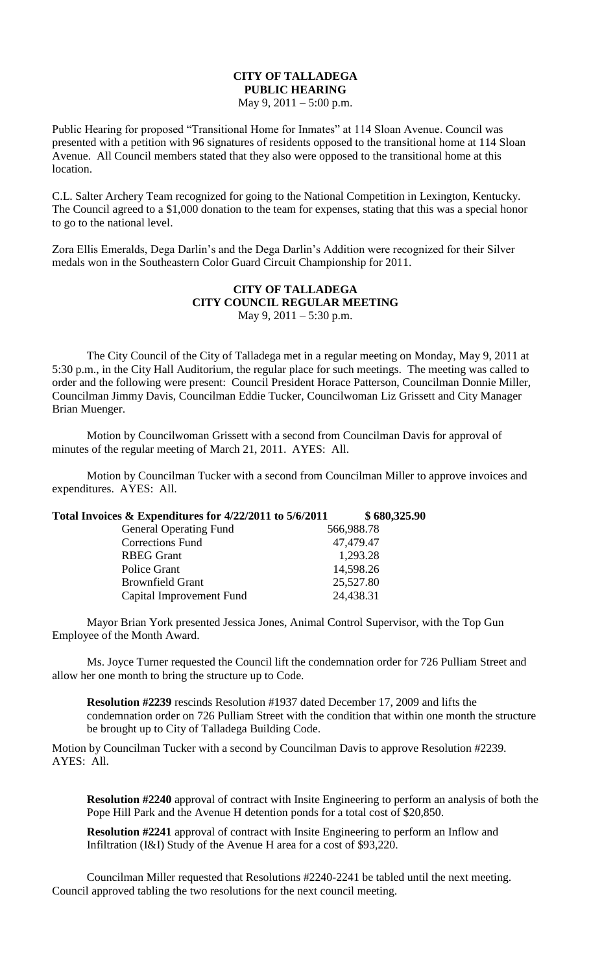## **CITY OF TALLADEGA PUBLIC HEARING**

May 9, 2011 – 5:00 p.m.

Public Hearing for proposed "Transitional Home for Inmates" at 114 Sloan Avenue. Council was presented with a petition with 96 signatures of residents opposed to the transitional home at 114 Sloan Avenue. All Council members stated that they also were opposed to the transitional home at this location.

C.L. Salter Archery Team recognized for going to the National Competition in Lexington, Kentucky. The Council agreed to a \$1,000 donation to the team for expenses, stating that this was a special honor to go to the national level.

Zora Ellis Emeralds, Dega Darlin's and the Dega Darlin's Addition were recognized for their Silver medals won in the Southeastern Color Guard Circuit Championship for 2011.

## **CITY OF TALLADEGA CITY COUNCIL REGULAR MEETING** May 9, 2011 – 5:30 p.m.

The City Council of the City of Talladega met in a regular meeting on Monday, May 9, 2011 at 5:30 p.m., in the City Hall Auditorium, the regular place for such meetings. The meeting was called to order and the following were present: Council President Horace Patterson, Councilman Donnie Miller, Councilman Jimmy Davis, Councilman Eddie Tucker, Councilwoman Liz Grissett and City Manager Brian Muenger.

Motion by Councilwoman Grissett with a second from Councilman Davis for approval of minutes of the regular meeting of March 21, 2011. AYES: All.

Motion by Councilman Tucker with a second from Councilman Miller to approve invoices and expenditures. AYES: All.

| Total Invoices & Expenditures for 4/22/2011 to 5/6/2011 | \$680,325.90 |
|---------------------------------------------------------|--------------|
| <b>General Operating Fund</b>                           | 566,988.78   |
| <b>Corrections Fund</b>                                 | 47,479.47    |
| <b>RBEG</b> Grant                                       | 1,293.28     |
| Police Grant                                            | 14,598.26    |
| <b>Brownfield Grant</b>                                 | 25,527.80    |
| Capital Improvement Fund                                | 24,438.31    |

Mayor Brian York presented Jessica Jones, Animal Control Supervisor, with the Top Gun Employee of the Month Award.

Ms. Joyce Turner requested the Council lift the condemnation order for 726 Pulliam Street and allow her one month to bring the structure up to Code.

**Resolution #2239** rescinds Resolution #1937 dated December 17, 2009 and lifts the condemnation order on 726 Pulliam Street with the condition that within one month the structure be brought up to City of Talladega Building Code.

Motion by Councilman Tucker with a second by Councilman Davis to approve Resolution #2239. AYES: All.

**Resolution #2240** approval of contract with Insite Engineering to perform an analysis of both the Pope Hill Park and the Avenue H detention ponds for a total cost of \$20,850.

**Resolution #2241** approval of contract with Insite Engineering to perform an Inflow and Infiltration (I&I) Study of the Avenue H area for a cost of \$93,220.

Councilman Miller requested that Resolutions #2240-2241 be tabled until the next meeting. Council approved tabling the two resolutions for the next council meeting.